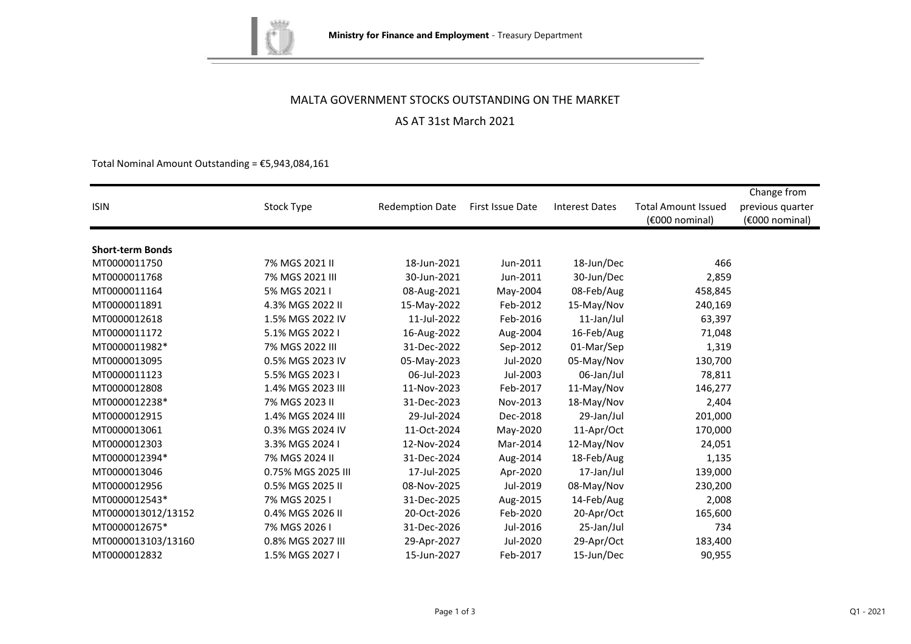

# MALTA GOVERNMENT STOCKS OUTSTANDING ON THE MARKET

# AS AT 31st March 2021

Total Nominal Amount Outstanding =  $£5,943,084,161$ 

|                         |                    |                        |                  |                       |                            | Change from       |
|-------------------------|--------------------|------------------------|------------------|-----------------------|----------------------------|-------------------|
| <b>ISIN</b>             | Stock Type         | <b>Redemption Date</b> | First Issue Date | <b>Interest Dates</b> | <b>Total Amount Issued</b> | previous quarter  |
|                         |                    |                        |                  |                       | (€000 nominal)             | $(6000)$ nominal) |
|                         |                    |                        |                  |                       |                            |                   |
| <b>Short-term Bonds</b> |                    |                        |                  |                       |                            |                   |
| MT0000011750            | 7% MGS 2021 II     | 18-Jun-2021            | Jun-2011         | 18-Jun/Dec            | 466                        |                   |
| MT0000011768            | 7% MGS 2021 III    | 30-Jun-2021            | Jun-2011         | 30-Jun/Dec            | 2,859                      |                   |
| MT0000011164            | 5% MGS 2021 I      | 08-Aug-2021            | May-2004         | 08-Feb/Aug            | 458,845                    |                   |
| MT0000011891            | 4.3% MGS 2022 II   | 15-May-2022            | Feb-2012         | 15-May/Nov            | 240,169                    |                   |
| MT0000012618            | 1.5% MGS 2022 IV   | 11-Jul-2022            | Feb-2016         | 11-Jan/Jul            | 63,397                     |                   |
| MT0000011172            | 5.1% MGS 2022 I    | 16-Aug-2022            | Aug-2004         | 16-Feb/Aug            | 71,048                     |                   |
| MT0000011982*           | 7% MGS 2022 III    | 31-Dec-2022            | Sep-2012         | 01-Mar/Sep            | 1,319                      |                   |
| MT0000013095            | 0.5% MGS 2023 IV   | 05-May-2023            | Jul-2020         | 05-May/Nov            | 130,700                    |                   |
| MT0000011123            | 5.5% MGS 2023 I    | 06-Jul-2023            | Jul-2003         | 06-Jan/Jul            | 78,811                     |                   |
| MT0000012808            | 1.4% MGS 2023 III  | 11-Nov-2023            | Feb-2017         | 11-May/Nov            | 146,277                    |                   |
| MT0000012238*           | 7% MGS 2023 II     | 31-Dec-2023            | Nov-2013         | 18-May/Nov            | 2,404                      |                   |
| MT0000012915            | 1.4% MGS 2024 III  | 29-Jul-2024            | Dec-2018         | 29-Jan/Jul            | 201,000                    |                   |
| MT0000013061            | 0.3% MGS 2024 IV   | 11-Oct-2024            | May-2020         | 11-Apr/Oct            | 170,000                    |                   |
| MT0000012303            | 3.3% MGS 2024 I    | 12-Nov-2024            | Mar-2014         | 12-May/Nov            | 24,051                     |                   |
| MT0000012394*           | 7% MGS 2024 II     | 31-Dec-2024            | Aug-2014         | 18-Feb/Aug            | 1,135                      |                   |
| MT0000013046            | 0.75% MGS 2025 III | 17-Jul-2025            | Apr-2020         | 17-Jan/Jul            | 139,000                    |                   |
| MT0000012956            | 0.5% MGS 2025 II   | 08-Nov-2025            | Jul-2019         | 08-May/Nov            | 230,200                    |                   |
| MT0000012543*           | 7% MGS 2025 I      | 31-Dec-2025            | Aug-2015         | 14-Feb/Aug            | 2,008                      |                   |
| MT0000013012/13152      | 0.4% MGS 2026 II   | 20-Oct-2026            | Feb-2020         | 20-Apr/Oct            | 165,600                    |                   |
| MT0000012675*           | 7% MGS 2026 I      | 31-Dec-2026            | Jul-2016         | 25-Jan/Jul            | 734                        |                   |
| MT0000013103/13160      | 0.8% MGS 2027 III  | 29-Apr-2027            | Jul-2020         | 29-Apr/Oct            | 183,400                    |                   |
| MT0000012832            | 1.5% MGS 2027 I    | 15-Jun-2027            | Feb-2017         | 15-Jun/Dec            | 90,955                     |                   |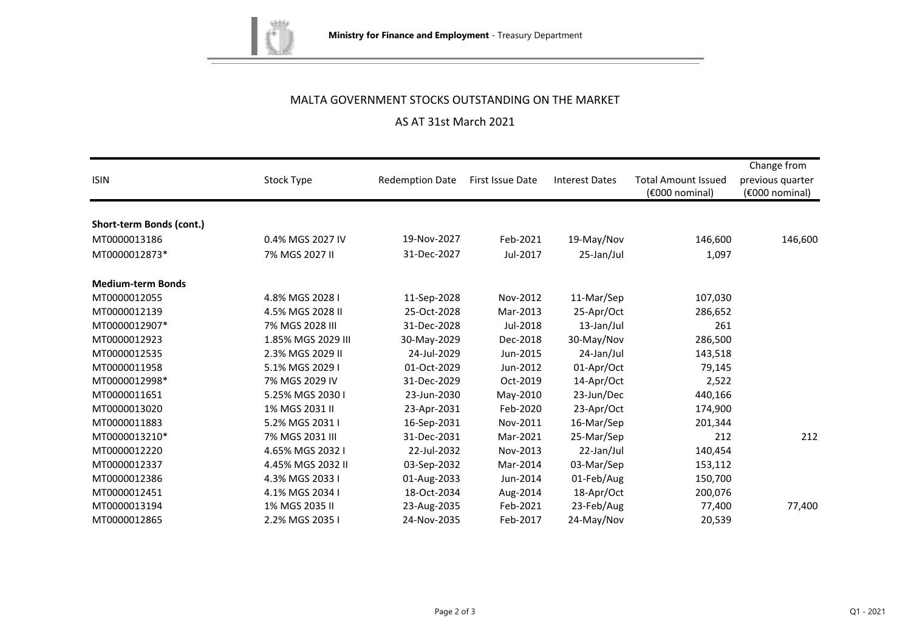

## MALTA GOVERNMENT STOCKS OUTSTANDING ON THE MARKET

# AS AT 31st March 2021

| <b>ISIN</b>              | Stock Type         | <b>Redemption Date</b> | First Issue Date | <b>Interest Dates</b> | <b>Total Amount Issued</b><br>(€000 nominal) | Change from<br>previous quarter<br>(€000 nominal) |
|--------------------------|--------------------|------------------------|------------------|-----------------------|----------------------------------------------|---------------------------------------------------|
|                          |                    |                        |                  |                       |                                              |                                                   |
| Short-term Bonds (cont.) |                    |                        |                  |                       |                                              |                                                   |
| MT0000013186             | 0.4% MGS 2027 IV   | 19-Nov-2027            | Feb-2021         | 19-May/Nov            | 146,600                                      | 146,600                                           |
| MT0000012873*            | 7% MGS 2027 II     | 31-Dec-2027            | Jul-2017         | 25-Jan/Jul            | 1,097                                        |                                                   |
| <b>Medium-term Bonds</b> |                    |                        |                  |                       |                                              |                                                   |
| MT0000012055             | 4.8% MGS 2028 I    | 11-Sep-2028            | Nov-2012         | 11-Mar/Sep            | 107,030                                      |                                                   |
| MT0000012139             | 4.5% MGS 2028 II   | 25-Oct-2028            | Mar-2013         | 25-Apr/Oct            | 286,652                                      |                                                   |
| MT0000012907*            | 7% MGS 2028 III    | 31-Dec-2028            | Jul-2018         | 13-Jan/Jul            | 261                                          |                                                   |
| MT0000012923             | 1.85% MGS 2029 III | 30-May-2029            | Dec-2018         | 30-May/Nov            | 286,500                                      |                                                   |
| MT0000012535             | 2.3% MGS 2029 II   | 24-Jul-2029            | Jun-2015         | 24-Jan/Jul            | 143,518                                      |                                                   |
| MT0000011958             | 5.1% MGS 2029 I    | 01-Oct-2029            | Jun-2012         | 01-Apr/Oct            | 79,145                                       |                                                   |
| MT0000012998*            | 7% MGS 2029 IV     | 31-Dec-2029            | Oct-2019         | 14-Apr/Oct            | 2,522                                        |                                                   |
| MT0000011651             | 5.25% MGS 2030 I   | 23-Jun-2030            | May-2010         | 23-Jun/Dec            | 440,166                                      |                                                   |
| MT0000013020             | 1% MGS 2031 II     | 23-Apr-2031            | Feb-2020         | 23-Apr/Oct            | 174,900                                      |                                                   |
| MT0000011883             | 5.2% MGS 2031 I    | 16-Sep-2031            | Nov-2011         | 16-Mar/Sep            | 201,344                                      |                                                   |
| MT0000013210*            | 7% MGS 2031 III    | 31-Dec-2031            | Mar-2021         | 25-Mar/Sep            | 212                                          | 212                                               |
| MT0000012220             | 4.65% MGS 2032 I   | 22-Jul-2032            | Nov-2013         | 22-Jan/Jul            | 140,454                                      |                                                   |
| MT0000012337             | 4.45% MGS 2032 II  | 03-Sep-2032            | Mar-2014         | 03-Mar/Sep            | 153,112                                      |                                                   |
| MT0000012386             | 4.3% MGS 2033 I    | 01-Aug-2033            | Jun-2014         | 01-Feb/Aug            | 150,700                                      |                                                   |
| MT0000012451             | 4.1% MGS 2034 I    | 18-Oct-2034            | Aug-2014         | 18-Apr/Oct            | 200,076                                      |                                                   |
| MT0000013194             | 1% MGS 2035 II     | 23-Aug-2035            | Feb-2021         | 23-Feb/Aug            | 77,400                                       | 77,400                                            |
| MT0000012865             | 2.2% MGS 2035 I    | 24-Nov-2035            | Feb-2017         | 24-May/Nov            | 20,539                                       |                                                   |